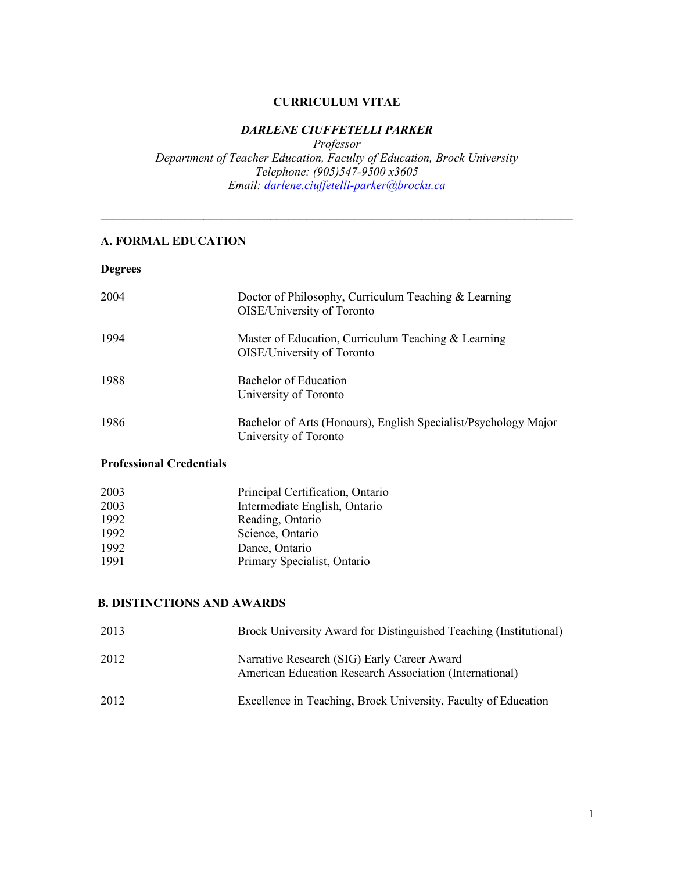### **CURRICULUM VITAE**

## *DARLENE CIUFFETELLI PARKER*

 *Department of Teacher Education, Faculty of Education, Brock University Professor Telephone: (905)547-9500 x3605 Email: darlene.ciuffetelli-parker@brocku.ca* 

 $\mathcal{L}_\mathcal{L} = \{ \mathcal{L}_\mathcal{L} = \{ \mathcal{L}_\mathcal{L} = \{ \mathcal{L}_\mathcal{L} = \{ \mathcal{L}_\mathcal{L} = \{ \mathcal{L}_\mathcal{L} = \{ \mathcal{L}_\mathcal{L} = \{ \mathcal{L}_\mathcal{L} = \{ \mathcal{L}_\mathcal{L} = \{ \mathcal{L}_\mathcal{L} = \{ \mathcal{L}_\mathcal{L} = \{ \mathcal{L}_\mathcal{L} = \{ \mathcal{L}_\mathcal{L} = \{ \mathcal{L}_\mathcal{L} = \{ \mathcal{L}_\mathcal{$ 

## **A. FORMAL EDUCATION**

**Degrees** 

| 2004 | Doctor of Philosophy, Curriculum Teaching & Learning<br>OISE/University of Toronto       |
|------|------------------------------------------------------------------------------------------|
| 1994 | Master of Education, Curriculum Teaching & Learning<br>OISE/University of Toronto        |
| 1988 | <b>Bachelor of Education</b><br>University of Toronto                                    |
| 1986 | Bachelor of Arts (Honours), English Specialist/Psychology Major<br>University of Toronto |

### **Professional Credentials**

| Principal Certification, Ontario<br>2003 |  |
|------------------------------------------|--|
| 2003<br>Intermediate English, Ontario    |  |
| 1992<br>Reading, Ontario                 |  |
| 1992<br>Science, Ontario                 |  |
| 1992<br>Dance, Ontario                   |  |
| 1991<br>Primary Specialist, Ontario      |  |

## **B. DISTINCTIONS AND AWARDS**

| 2013 | Brock University Award for Distinguished Teaching (Institutional)                                      |
|------|--------------------------------------------------------------------------------------------------------|
| 2012 | Narrative Research (SIG) Early Career Award<br>American Education Research Association (International) |
| 2012 | Excellence in Teaching, Brock University, Faculty of Education                                         |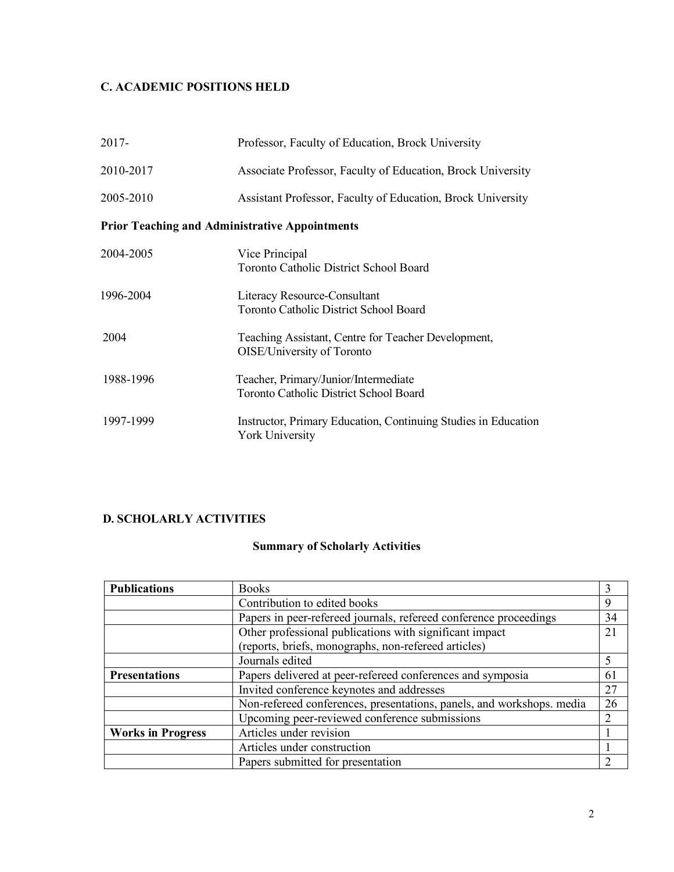# **C. ACADEMIC POSITIONS HELD**

| $2017 -$                                              | Professor, Faculty of Education, Brock University                                        |  |
|-------------------------------------------------------|------------------------------------------------------------------------------------------|--|
| 2010-2017                                             | Associate Professor, Faculty of Education, Brock University                              |  |
| 2005-2010                                             | Assistant Professor, Faculty of Education, Brock University                              |  |
| <b>Prior Teaching and Administrative Appointments</b> |                                                                                          |  |
| 2004-2005                                             | Vice Principal<br><b>Toronto Catholic District School Board</b>                          |  |
| 1996-2004                                             | Literacy Resource-Consultant<br><b>Toronto Catholic District School Board</b>            |  |
| 2004                                                  | Teaching Assistant, Centre for Teacher Development,<br>OISE/University of Toronto        |  |
| 1988-1996                                             | Teacher, Primary/Junior/Intermediate<br><b>Toronto Catholic District School Board</b>    |  |
| 1997-1999                                             | Instructor, Primary Education, Continuing Studies in Education<br><b>York University</b> |  |

# **D. SCHOLARLY ACTIVITIES**

# **Summary of Scholarly Activities**

| <b>Publications</b>      | <b>Books</b>                                                          | 3              |
|--------------------------|-----------------------------------------------------------------------|----------------|
|                          | Contribution to edited books                                          | 9              |
|                          | Papers in peer-refereed journals, refereed conference proceedings     | 34             |
|                          | Other professional publications with significant impact               | 21             |
|                          | (reports, briefs, monographs, non-refereed articles)                  |                |
|                          | Journals edited                                                       | 5              |
| <b>Presentations</b>     | Papers delivered at peer-refereed conferences and symposia            | 61             |
|                          | Invited conference keynotes and addresses                             | 27             |
|                          | Non-refereed conferences, presentations, panels, and workshops. media | 26             |
|                          | Upcoming peer-reviewed conference submissions                         | $\overline{2}$ |
| <b>Works in Progress</b> | Articles under revision                                               |                |
|                          | Articles under construction                                           |                |
|                          | Papers submitted for presentation                                     |                |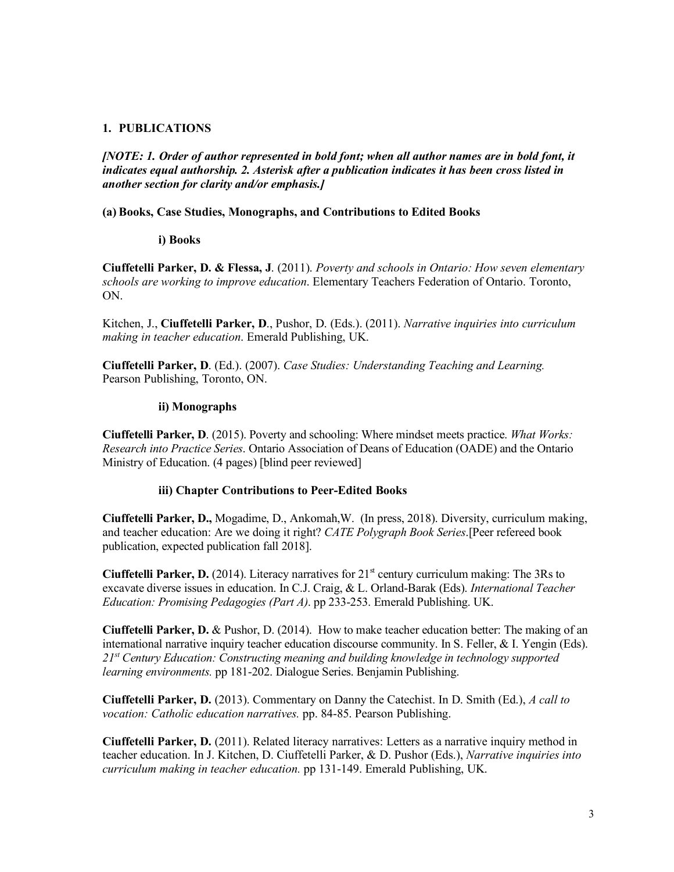## **1. PUBLICATIONS**

 *[NOTE: 1. Order of author represented in bold font; when all author names are in bold font, it indicates equal authorship. 2. Asterisk after a publication indicates it has been cross listed in another section for clarity and/or emphasis.]* 

## **(a) Books, Case Studies, Monographs, and Contributions to Edited Books**

## **i) Books**

 **Ciuffetelli Parker, D. & Flessa, J**. (2011). *Poverty and schools in Ontario: How seven elementary schools are working to improve education*. Elementary Teachers Federation of Ontario. Toronto, ON.

 Kitchen, J., **Ciuffetelli Parker, D**., Pushor, D. (Eds.). (2011). *Narrative inquiries into curriculum making in teacher education*. Emerald Publishing, UK.

 **Ciuffetelli Parker, D**. (Ed.). (2007). *Case Studies: Understanding Teaching and Learning.*  Pearson Publishing, Toronto, ON.

## **ii) Monographs**

 **Ciuffetelli Parker, D**. (2015). Poverty and schooling: Where mindset meets practice. *What Works: Research into Practice Series*. Ontario Association of Deans of Education (OADE) and the Ontario Ministry of Education. (4 pages) [blind peer reviewed]

## **iii) Chapter Contributions to Peer-Edited Books**

 **Ciuffetelli Parker, D.,** Mogadime, D., Ankomah,W. (In press, 2018). Diversity, curriculum making, and teacher education: Are we doing it right? *CATE Polygraph Book Series*.[Peer refereed book publication, expected publication fall 2018].

 **Ciuffetelli Parker, D.** (2014). Literacy narratives for 21st century curriculum making: The 3Rs to excavate diverse issues in education. In C.J. Craig, & L. Orland-Barak (Eds). *International Teacher Education: Promising Pedagogies (Part A)*. pp 233-253. Emerald Publishing. UK.

 **Ciuffetelli Parker, D.** & Pushor, D. (2014). How to make teacher education better: The making of an international narrative inquiry teacher education discourse community. In S. Feller, & I. Yengin (Eds).  *21st Century Education: Constructing meaning and building knowledge in technology supported learning environments.* pp 181-202. Dialogue Series. Benjamin Publishing.

 **Ciuffetelli Parker, D.** (2013). Commentary on Danny the Catechist. In D. Smith (Ed.), *A call to vocation: Catholic education narratives.* pp. 84-85. Pearson Publishing.

 **Ciuffetelli Parker, D.** (2011). Related literacy narratives: Letters as a narrative inquiry method in teacher education. In J. Kitchen, D. Ciuffetelli Parker, & D. Pushor (Eds.), *Narrative inquiries into curriculum making in teacher education.* pp 131-149. Emerald Publishing, UK.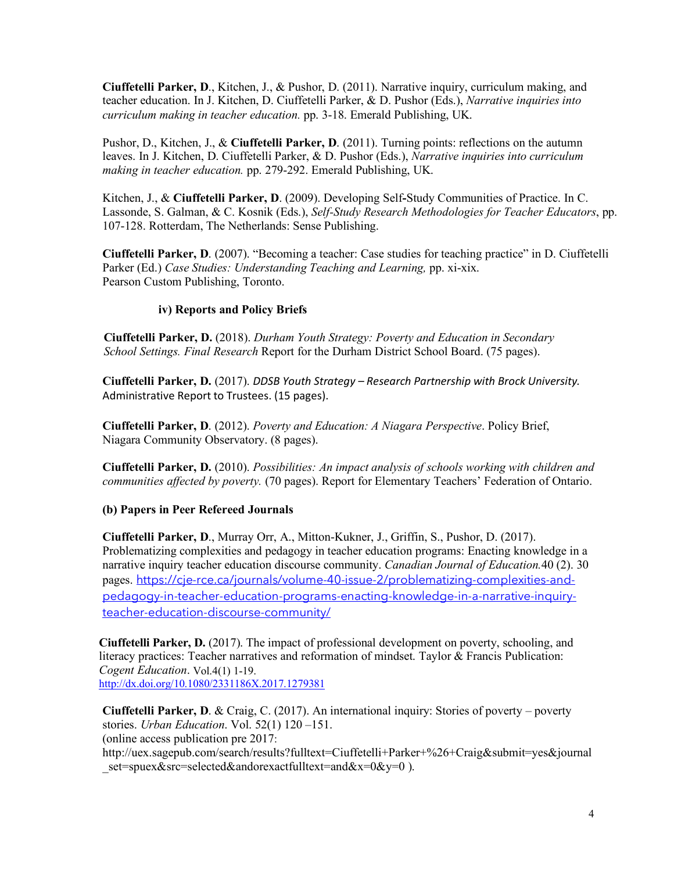**Ciuffetelli Parker, D**., Kitchen, J., & Pushor, D. (2011). Narrative inquiry, curriculum making, and teacher education. In J. Kitchen, D. Ciuffetelli Parker, & D. Pushor (Eds.), *Narrative inquiries into curriculum making in teacher education.* pp. 3-18. Emerald Publishing, UK.

 Pushor, D., Kitchen, J., & **Ciuffetelli Parker, D**. (2011). Turning points: reflections on the autumn leaves. In J. Kitchen, D. Ciuffetelli Parker, & D. Pushor (Eds.), *Narrative inquiries into curriculum making in teacher education.* pp. 279-292. Emerald Publishing, UK.

 Kitchen, J., & **Ciuffetelli Parker, D**. (2009). Developing Self**-**Study Communities of Practice. In C. Lassonde, S. Galman, & C. Kosnik (Eds.), *Self-Study Research Methodologies for Teacher Educators*, pp. 107-128. Rotterdam, The Netherlands: Sense Publishing.

 **Ciuffetelli Parker, D**. (2007). "Becoming a teacher: Case studies for teaching practice" in D. Ciuffetelli Parker (Ed.) *Case Studies: Understanding Teaching and Learning,* pp. xi-xix. Pearson Custom Publishing, Toronto.

## **iv) Reports and Policy Briefs**

**Ciuffetelli Parker, D.** (2018). *Durham Youth Strategy: Poverty and Education in Secondary School Settings. Final Research* Report for the Durham District School Board. (75 pages).

 **Ciuffetelli Parker, D.** (2017). *DDSB Youth Strategy – Research Partnership with Brock University.*  Administrative Report to Trustees. (15 pages).

 **Ciuffetelli Parker, D**. (2012). *Poverty and Education: A Niagara Perspective*. Policy Brief, Niagara Community Observatory. (8 pages).

 **Ciuffetelli Parker, D.** (2010). *Possibilities: An impact analysis of schools working with children and communities affected by poverty.* (70 pages). Report for Elementary Teachers' Federation of Ontario.

## **(b) Papers in Peer Refereed Journals**

 **Ciuffetelli Parker, D**., Murray Orr, A., Mitton-Kukner, J., Griffin, S., Pushor, D. (2017). Problematizing complexities and pedagogy in teacher education programs: Enacting knowledge in a narrative inquiry teacher education discourse community. *Canadian Journal of Education.*40 (2). 30 pages. https://cje-rce.ca/journals/volume-40-issue-2/problematizing-complexities-andpedagogy-in-teacher-education-programs-enacting-knowledge-in-a-narrative-inquiryteacher-education-discourse-community/

 **Ciuffetelli Parker, D.** (2017). The impact of professional development on poverty, schooling, and literacy practices: Teacher narratives and reformation of mindset. Taylor & Francis Publication: *Cogent Education*. Vol.4(1) 1-19. http://dx.doi.org/10.1080/2331186X.2017.1279381

 **Ciuffetelli Parker, D**. & Craig, C. (2017). An international inquiry: Stories of poverty – poverty stories. *Urban Education*. Vol. 52(1) 120 –151. (online access publication pre 2017: http://uex.sagepub.com/search/results?fulltext=Ciuffetelli+Parker+%26+Craig&submit=yes&journal set=spuex&src=selected&andorexactfulltext=and&x=0&y=0 ).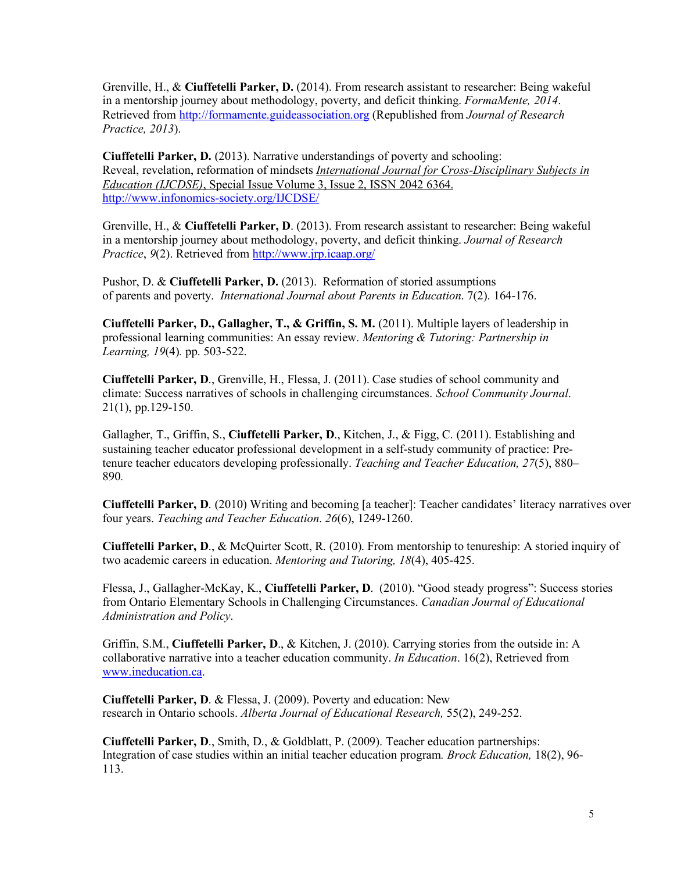Grenville, H., & **Ciuffetelli Parker, D.** (2014). From research assistant to researcher: Being wakeful in a mentorship journey about methodology, poverty, and deficit thinking. *FormaMente, 2014*.  Retrieved from http://formamente.guideassociation.org (Republished from *Journal of Research Practice, 2013*).

 **Ciuffetelli Parker, D.** (2013). Narrative understandings of poverty and schooling: Reveal, revelation, reformation of mindsets *International Journal for Cross-Disciplinary Subjects in Education (IJCDSE)*, Special Issue Volume 3, Issue 2, ISSN 2042 6364. http://www.infonomics-society.org/IJCDSE/

 Grenville, H., & **Ciuffetelli Parker, D**. (2013). From research assistant to researcher: Being wakeful in a mentorship journey about methodology, poverty, and deficit thinking. *Journal of Research Practice*, 9(2). Retrieved from http://www.jrp.icaap.org/

*Practice*, *9*(2). Retrieved from <u>http://www.jrp.icaap.org/</u><br>Pushor, D. & Ciuffetelli Parker, D. (2013). Reformation of storied assumptions of parents and poverty. *International Journal about Parents in Education*. 7(2). 164-176.

 **Ciuffetelli Parker, D., Gallagher, T., & Griffin, S. M.** (2011). Multiple layers of leadership in professional learning communities: An essay review. *Mentoring & Tutoring: Partnership in Learning, 19*(4)*.* pp. 503-522.

 **Ciuffetelli Parker, D**., Grenville, H., Flessa, J. (2011). Case studies of school community and climate: Success narratives of schools in challenging circumstances. *School Community Journal*. 21(1), pp.129-150.

 Gallagher, T., Griffin, S., **Ciuffetelli Parker, D**., Kitchen, J., & Figg, C. (2011). Establishing and sustaining teacher educator professional development in a self-study community of practice: Pre- tenure teacher educators developing professionally. *Teaching and Teacher Education, 27*(5), 880– 890*.* 

 **Ciuffetelli Parker, D**. (2010) Writing and becoming [a teacher]: Teacher candidates' literacy narratives over four years. *Teaching and Teacher Education*. *26*(6), 1249-1260.

 **Ciuffetelli Parker, D**., & McQuirter Scott, R. (2010). From mentorship to tenureship: A storied inquiry of two academic careers in education. *Mentoring and Tutoring, 18*(4), 405-425.

 Flessa, J., Gallagher-McKay, K., **Ciuffetelli Parker, D**. (2010). "Good steady progress": Success stories from Ontario Elementary Schools in Challenging Circumstances. *Canadian Journal of Educational Administration and Policy*.

 Griffin, S.M., **Ciuffetelli Parker, D**., & Kitchen, J. (2010). Carrying stories from the outside in: A collaborative narrative into a teacher education community. *In Education*. 16(2), Retrieved from www.ineducation.ca.

 **Ciuffetelli Parker, D**. & Flessa, J. (2009). Poverty and education: New  research in Ontario schools. *Alberta Journal of Educational Research,* 55(2), 249-252.

 **Ciuffetelli Parker, D**., Smith, D., & Goldblatt, P. (2009). Teacher education partnerships: Integration of case studies within an initial teacher education program*. Brock Education,* 18(2), 96- 113.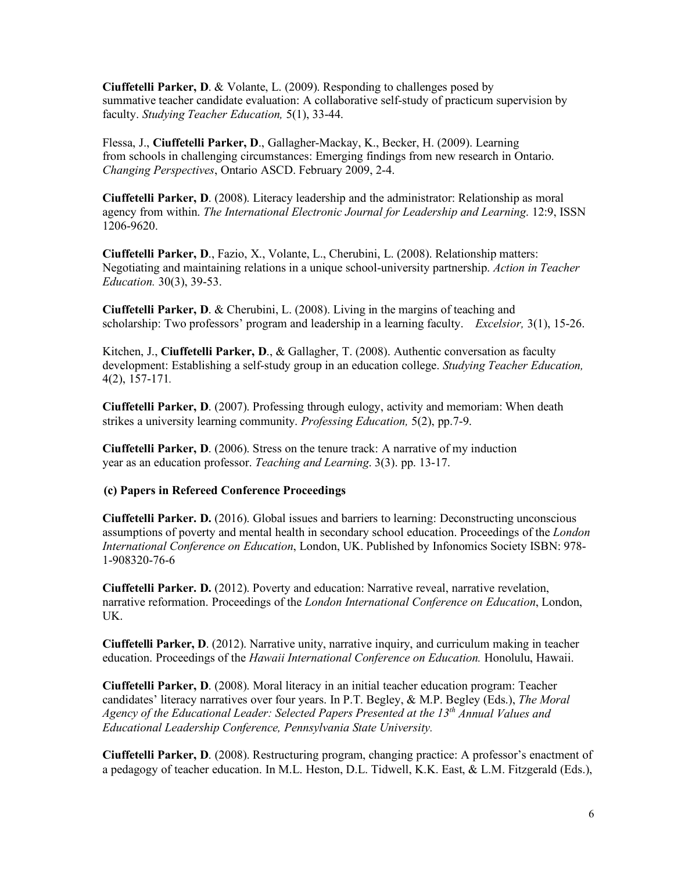**Ciuffetelli Parker, D**. & Volante, L. (2009). Responding to challenges posed by summative teacher candidate evaluation: A collaborative self-study of practicum supervision by  faculty. *Studying Teacher Education,* 5(1), 33-44.

 Flessa, J., **Ciuffetelli Parker, D**., Gallagher-Mackay, K., Becker, H. (2009). Learning from schools in challenging circumstances: Emerging findings from new research in Ontario. *Changing Perspectives*, Ontario ASCD. February 2009, 2-4.

 **Ciuffetelli Parker, D**. (2008). Literacy leadership and the administrator: Relationship as moral agency from within. *The International Electronic Journal for Leadership and Learning*. 12:9, ISSN 1206-9620.

 **Ciuffetelli Parker, D**., Fazio, X., Volante, L., Cherubini, L. (2008). Relationship matters: Negotiating and maintaining relations in a unique school-university partnership. *Action in Teacher Education.* 30(3), 39-53.

 **Ciuffetelli Parker, D**. & Cherubini, L. (2008). Living in the margins of teaching and scholarship: Two professors' program and leadership in a learning faculty. *Excelsior,* 3(1), 15-26.

 Kitchen, J., **Ciuffetelli Parker, D**., & Gallagher, T. (2008). Authentic conversation as faculty development: Establishing a self-study group in an education college. *Studying Teacher Education,*  4(2), 157-171*.* 

 **Ciuffetelli Parker, D**. (2007). Professing through eulogy, activity and memoriam: When death strikes a university learning community. *Professing Education,* 5(2), pp.7-9.

 **Ciuffetelli Parker, D**. (2006). Stress on the tenure track: A narrative of my induction year as an education professor. *Teaching and Learning*. 3(3). pp. 13-17.

## **(c) Papers in Refereed Conference Proceedings**

 **Ciuffetelli Parker. D.** (2016). Global issues and barriers to learning: Deconstructing unconscious assumptions of poverty and mental health in secondary school education. Proceedings of the *London International Conference on Education*, London, UK. Published by Infonomics Society ISBN: 978- 1-908320-76-6

 **Ciuffetelli Parker. D.** (2012). Poverty and education: Narrative reveal, narrative revelation, narrative reformation. Proceedings of the *London International Conference on Education*, London, UK.

 **Ciuffetelli Parker, D**. (2012). Narrative unity, narrative inquiry, and curriculum making in teacher education. Proceedings of the *Hawaii International Conference on Education.* Honolulu, Hawaii.

 **Ciuffetelli Parker, D**. (2008). Moral literacy in an initial teacher education program: Teacher candidates' literacy narratives over four years. In P.T. Begley, & M.P. Begley (Eds.), *The Moral Agency of the Educational Leader: Selected Papers Presented at the 13th Annual Values and Educational Leadership Conference, Pennsylvania State University.* 

 **Ciuffetelli Parker, D**. (2008). Restructuring program, changing practice: A professor's enactment of a pedagogy of teacher education. In M.L. Heston, D.L. Tidwell, K.K. East, & L.M. Fitzgerald (Eds.),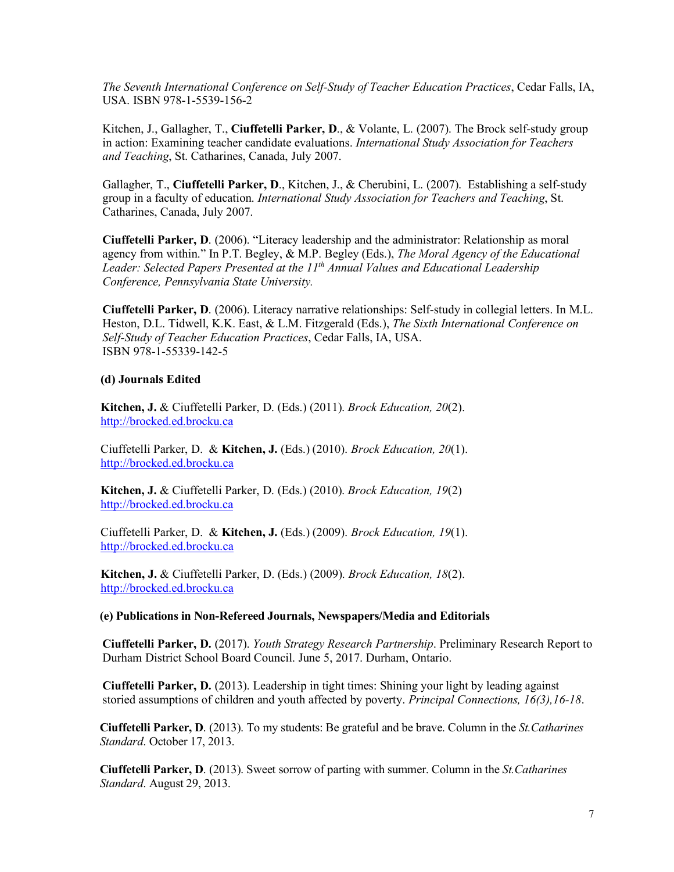*The Seventh International Conference on Self-Study of Teacher Education Practices*, Cedar Falls, IA, USA. ISBN 978-1-5539-156-2

 Kitchen, J., Gallagher, T., **Ciuffetelli Parker, D**., & Volante, L. (2007). The Brock self-study group in action: Examining teacher candidate evaluations. *International Study Association for Teachers and Teaching*, St. Catharines, Canada, July 2007.

 Gallagher, T., **Ciuffetelli Parker, D**., Kitchen, J., & Cherubini, L. (2007). Establishing a self-study group in a faculty of education. *International Study Association for Teachers and Teaching*, St. Catharines, Canada, July 2007.

 **Ciuffetelli Parker, D**. (2006). "Literacy leadership and the administrator: Relationship as moral agency from within." In P.T. Begley, & M.P. Begley (Eds.), *The Moral Agency of the Educational*  Leader: Selected Papers Presented at the 11<sup>th</sup> Annual Values and Educational Leadership  *Conference, Pennsylvania State University.* 

 **Ciuffetelli Parker, D**. (2006). Literacy narrative relationships: Self-study in collegial letters. In M.L. Heston, D.L. Tidwell, K.K. East, & L.M. Fitzgerald (Eds.), *The Sixth International Conference on Self-Study of Teacher Education Practices*, Cedar Falls, IA, USA. ISBN 978-1-55339-142-5

## **(d) Journals Edited**

**Kitchen, J.** & Ciuffetelli Parker, D. (Eds.) (2011). *Brock Education, 20*(2). http://brocked.ed.brocku.ca

 Ciuffetelli Parker, D. & **Kitchen, J.** (Eds.) (2010). *Brock Education, 20*(1). http://brocked.ed.brocku.ca

**Kitchen, J.** & Ciuffetelli Parker, D. (Eds.) (2010). *Brock Education, 19*(2) http://brocked.ed.brocku.ca

 Ciuffetelli Parker, D. & **Kitchen, J.** (Eds.) (2009). *Brock Education, 19*(1). http://brocked.ed.brocku.ca

 **Kitchen, J.** & Ciuffetelli Parker, D. (Eds.) (2009). *Brock Education, 18*(2). http://brocked.ed.brocku.ca

## **(e) Publications in Non-Refereed Journals, Newspapers/Media and Editorials**

 **Ciuffetelli Parker, D.** (2017). *Youth Strategy Research Partnership*. Preliminary Research Report to Durham District School Board Council. June 5, 2017. Durham, Ontario.

 **Ciuffetelli Parker, D.** (2013). Leadership in tight times: Shining your light by leading against storied assumptions of children and youth affected by poverty. *Principal Connections, 16(3),16-18*.

**Ciuffetelli Parker, D**. (2013). To my students: Be grateful and be brave. Column in the *St.Catharines Standard*. October 17, 2013.

**Ciuffetelli Parker, D**. (2013). Sweet sorrow of parting with summer. Column in the *St.Catharines Standard*. August 29, 2013.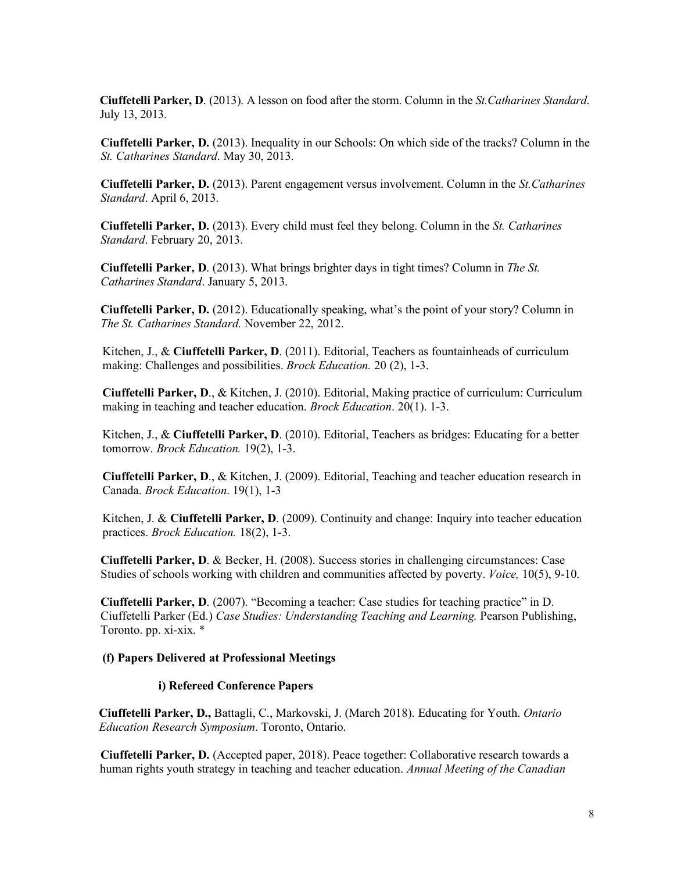**Ciuffetelli Parker, D**. (2013). A lesson on food after the storm. Column in the *St.Catharines Standard*. July 13, 2013.

**Ciuffetelli Parker, D.** (2013). Inequality in our Schools: On which side of the tracks? Column in the *St. Catharines Standard*. May 30, 2013.

**Ciuffetelli Parker, D.** (2013). Parent engagement versus involvement. Column in the *St.Catharines Standard*. April 6, 2013.

**Ciuffetelli Parker, D.** (2013). Every child must feel they belong. Column in the *St. Catharines Standard*. February 20, 2013.

**Ciuffetelli Parker, D**. (2013). What brings brighter days in tight times? Column in *The St. Catharines Standard*. January 5, 2013.

**Ciuffetelli Parker, D.** (2012). Educationally speaking, what's the point of your story? Column in *The St. Catharines Standard.* November 22, 2012.

 Kitchen, J., & **Ciuffetelli Parker, D**. (2011). Editorial, Teachers as fountainheads of curriculum making: Challenges and possibilities. *Brock Education.* 20 (2), 1-3.

 **Ciuffetelli Parker, D**., & Kitchen, J. (2010). Editorial, Making practice of curriculum: Curriculum making in teaching and teacher education. *Brock Education*. 20(1). 1-3.

 Kitchen, J., & **Ciuffetelli Parker, D**. (2010). Editorial, Teachers as bridges: Educating for a better tomorrow. *Brock Education.* 19(2), 1-3.

 **Ciuffetelli Parker, D**., & Kitchen, J. (2009). Editorial, Teaching and teacher education research in Canada. *Brock Education*. 19(1), 1-3

 Kitchen, J. & **Ciuffetelli Parker, D**. (2009). Continuity and change: Inquiry into teacher education practices. *Brock Education.* 18(2), 1-3.

 **Ciuffetelli Parker, D**. & Becker, H. (2008). Success stories in challenging circumstances: Case Studies of schools working with children and communities affected by poverty. *Voice,* 10(5), 9-10.

 **Ciuffetelli Parker, D**. (2007). "Becoming a teacher: Case studies for teaching practice" in D. Ciuffetelli Parker (Ed.) *Case Studies: Understanding Teaching and Learning.* Pearson Publishing, Toronto. pp. xi-xix. \*

#### **(f) Papers Delivered at Professional Meetings**

#### **i) Refereed Conference Papers**

 **Ciuffetelli Parker, D.,** Battagli, C., Markovski, J. (March 2018). Educating for Youth. *Ontario Education Research Symposium*. Toronto, Ontario.

 **Ciuffetelli Parker, D.** (Accepted paper, 2018). Peace together: Collaborative research towards a human rights youth strategy in teaching and teacher education. *Annual Meeting of the Canadian*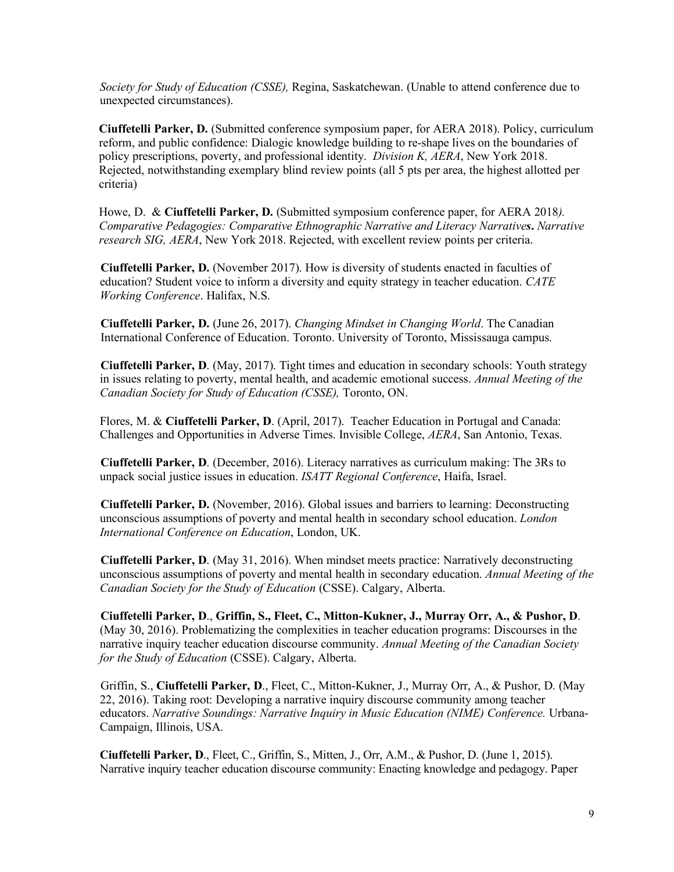*Society for Study of Education (CSSE),* Regina, Saskatchewan. (Unable to attend conference due to unexpected circumstances).

 **Ciuffetelli Parker, D.** (Submitted conference symposium paper, for AERA 2018). Policy, curriculum reform, and public confidence: Dialogic knowledge building to re-shape lives on the boundaries of policy prescriptions, poverty, and professional identity. *Division K, AERA*, New York 2018. Rejected, notwithstanding exemplary blind review points (all 5 pts per area, the highest allotted per criteria)

 Howe, D. & **Ciuffetelli Parker, D.** (Submitted symposium conference paper, for AERA 2018*). Comparative Pedagogies: Comparative Ethnographic Narrative and Literacy Narratives***.** *Narrative research SIG, AERA*, New York 2018. Rejected, with excellent review points per criteria.

 **Ciuffetelli Parker, D.** (November 2017). How is diversity of students enacted in faculties of education? Student voice to inform a diversity and equity strategy in teacher education. *CATE Working Conference*. Halifax, N.S.

 **Ciuffetelli Parker, D.** (June 26, 2017). *Changing Mindset in Changing World*. The Canadian International Conference of Education. Toronto. University of Toronto, Mississauga campus.

 **Ciuffetelli Parker, D**. (May, 2017). Tight times and education in secondary schools: Youth strategy in issues relating to poverty, mental health, and academic emotional success. *Annual Meeting of the Canadian Society for Study of Education (CSSE),* Toronto, ON.

 Flores, M. & **Ciuffetelli Parker, D**. (April, 2017). Teacher Education in Portugal and Canada: Challenges and Opportunities in Adverse Times. Invisible College, *AERA*, San Antonio, Texas.

 **Ciuffetelli Parker, D**. (December, 2016). Literacy narratives as curriculum making: The 3Rs to unpack social justice issues in education. *ISATT Regional Conference*, Haifa, Israel.

 **Ciuffetelli Parker, D.** (November, 2016). Global issues and barriers to learning: Deconstructing unconscious assumptions of poverty and mental health in secondary school education. *London International Conference on Education*, London, UK.

 **Ciuffetelli Parker, D**. (May 31, 2016). When mindset meets practice: Narratively deconstructing unconscious assumptions of poverty and mental health in secondary education. *Annual Meeting of the Canadian Society for the Study of Education* (CSSE). Calgary, Alberta.

 **Ciuffetelli Parker, D**., **Griffin, S., Fleet, C., Mitton-Kukner, J., Murray Orr, A., & Pushor, D**. (May 30, 2016). Problematizing the complexities in teacher education programs: Discourses in the narrative inquiry teacher education discourse community. *Annual Meeting of the Canadian Society for the Study of Education* (CSSE). Calgary, Alberta.

 Griffin, S., **Ciuffetelli Parker, D**., Fleet, C., Mitton-Kukner, J., Murray Orr, A., & Pushor, D. (May 22, 2016). Taking root: Developing a narrative inquiry discourse community among teacher  educators. *Narrative Soundings: Narrative Inquiry in Music Education (NIME) Conference.* Urbana-Campaign, Illinois, USA.

 **Ciuffetelli Parker, D**., Fleet, C., Griffin, S., Mitten, J., Orr, A.M., & Pushor, D. (June 1, 2015). Narrative inquiry teacher education discourse community: Enacting knowledge and pedagogy. Paper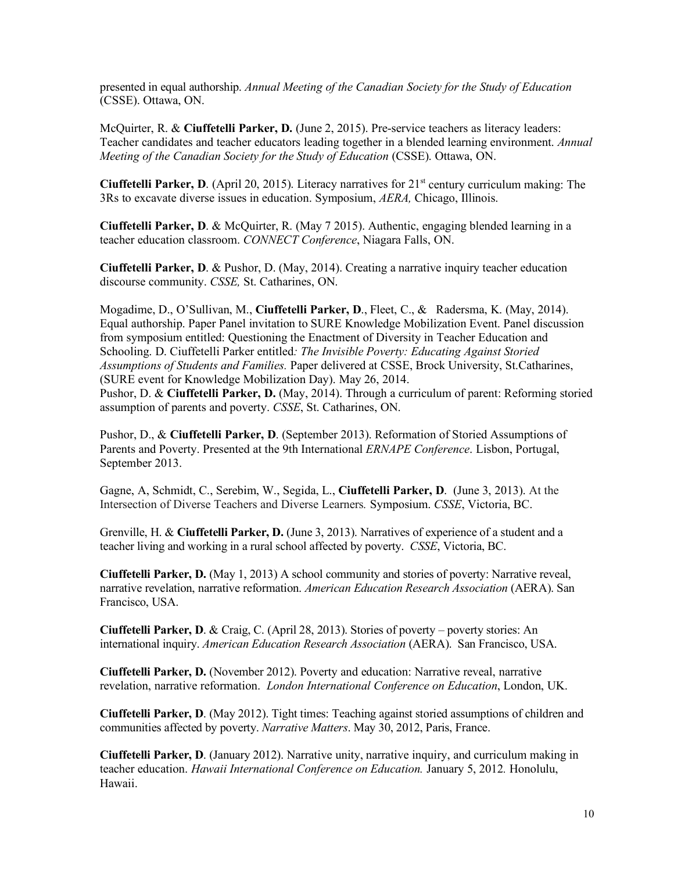presented in equal authorship. *Annual Meeting of the Canadian Society for the Study of Education*  (CSSE). Ottawa, ON.

 McQuirter, R. & **Ciuffetelli Parker, D.** (June 2, 2015). Pre-service teachers as literacy leaders: Teacher candidates and teacher educators leading together in a blended learning environment. *Annual Meeting of the Canadian Society for the Study of Education* (CSSE). Ottawa, ON.

Ciuffetelli Parker, D. (April 20, 2015). Literacy narratives for 21<sup>st</sup> century curriculum making: The 3Rs to excavate diverse issues in education. Symposium, *AERA,* Chicago, Illinois.

 **Ciuffetelli Parker, D**. & McQuirter, R. (May 7 2015). Authentic, engaging blended learning in a teacher education classroom. *CONNECT Conference*, Niagara Falls, ON.

 **Ciuffetelli Parker, D**. & Pushor, D. (May, 2014). Creating a narrative inquiry teacher education discourse community. *CSSE,* St. Catharines, ON.

 Mogadime, D., O'Sullivan, M., **Ciuffetelli Parker, D**., Fleet, C., & Radersma, K. (May, 2014). Equal authorship. Paper Panel invitation to SURE Knowledge Mobilization Event. Panel discussion from symposium entitled: Questioning the Enactment of Diversity in Teacher Education and Schooling. D. Ciuffetelli Parker entitled*: The Invisible Poverty: Educating Against Storied Assumptions of Students and Families.* Paper delivered at CSSE, Brock University, St.Catharines, (SURE event for Knowledge Mobilization Day). May 26, 2014.

 Pushor, D. & **Ciuffetelli Parker, D.** (May, 2014). Through a curriculum of parent: Reforming storied assumption of parents and poverty. *CSSE*, St. Catharines, ON.

 Pushor, D., & **Ciuffetelli Parker, D**. (September 2013). Reformation of Storied Assumptions of Parents and Poverty. Presented at the 9th International *ERNAPE Conference*. Lisbon, Portugal, September 2013.

 Gagne, A, Schmidt, C., Serebim, W., Segida, L., **Ciuffetelli Parker, D**. (June 3, 2013). At the Intersection of Diverse Teachers and Diverse Learners*.* Symposium. *CSSE*, Victoria, BC.

 Grenville, H. & **Ciuffetelli Parker, D.** (June 3, 2013). Narratives of experience of a student and a teacher living and working in a rural school affected by poverty. *CSSE*, Victoria, BC.

 **Ciuffetelli Parker, D.** (May 1, 2013) A school community and stories of poverty: Narrative reveal, narrative revelation, narrative reformation. *American Education Research Association* (AERA). San Francisco, USA.

 **Ciuffetelli Parker, D**. & Craig, C. (April 28, 2013). Stories of poverty – poverty stories: An international inquiry. *American Education Research Association* (AERA). San Francisco, USA.

 **Ciuffetelli Parker, D.** (November 2012). Poverty and education: Narrative reveal, narrative revelation, narrative reformation. *London International Conference on Education*, London, UK.

 **Ciuffetelli Parker, D**. (May 2012). Tight times: Teaching against storied assumptions of children and communities affected by poverty. *Narrative Matters*. May 30, 2012, Paris, France.

 **Ciuffetelli Parker, D**. (January 2012). Narrative unity, narrative inquiry, and curriculum making in teacher education. *Hawaii International Conference on Education.* January 5, 2012*.* Honolulu, Hawaii.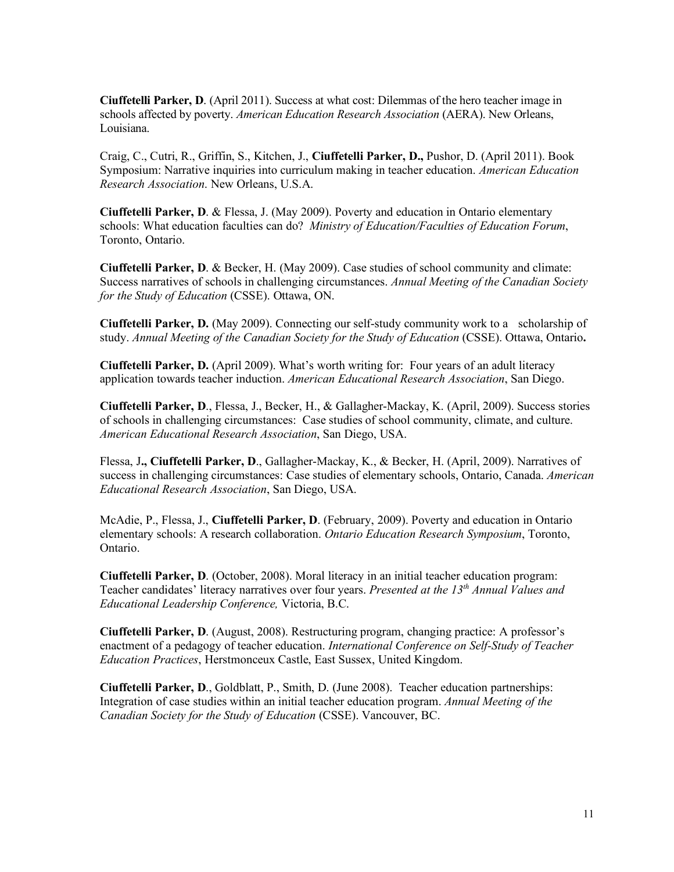**Ciuffetelli Parker, D**. (April 2011). Success at what cost: Dilemmas of the hero teacher image in schools affected by poverty. *American Education Research Association* (AERA). New Orleans, Louisiana.

Louisiana.<br>Craig, C., Cutri, R., Griffin, S., Kitchen, J., **Ciuffetelli Parker, D.,** Pushor, D. (April 2011). Book Symposium: Narrative inquiries into curriculum making in teacher education. *American Education Research Association*. New Orleans, U.S.A.

 **Ciuffetelli Parker, D**. & Flessa, J. (May 2009). Poverty and education in Ontario elementary schools: What education faculties can do? *Ministry of Education/Faculties of Education Forum*, Toronto, Ontario.

 **Ciuffetelli Parker, D**. & Becker, H. (May 2009). Case studies of school community and climate: Success narratives of schools in challenging circumstances. *Annual Meeting of the Canadian Society for the Study of Education* (CSSE). Ottawa, ON.

 **Ciuffetelli Parker, D.** (May 2009). Connecting our self-study community work to a scholarship of study. *Annual Meeting of the Canadian Society for the Study of Education* (CSSE). Ottawa, Ontario**.** 

 **Ciuffetelli Parker, D.** (April 2009). What's worth writing for: Four years of an adult literacy application towards teacher induction. *American Educational Research Association*, San Diego.

 **Ciuffetelli Parker, D**., Flessa, J., Becker, H., & Gallagher-Mackay, K. (April, 2009). Success stories of schools in challenging circumstances: Case studies of school community, climate, and culture. *American Educational Research Association*, San Diego, USA.

 Flessa, J**., Ciuffetelli Parker, D**., Gallagher-Mackay, K., & Becker, H. (April, 2009). Narratives of success in challenging circumstances: Case studies of elementary schools, Ontario, Canada. *American Educational Research Association*, San Diego, USA.

 McAdie, P., Flessa, J., **Ciuffetelli Parker, D**. (February, 2009). Poverty and education in Ontario elementary schools: A research collaboration. *Ontario Education Research Symposium*, Toronto, Ontario.

 **Ciuffetelli Parker, D**. (October, 2008). Moral literacy in an initial teacher education program: Teacher candidates' literacy narratives over four years. *Presented at the 13th Annual Values and Educational Leadership Conference,* Victoria, B.C.

 **Ciuffetelli Parker, D**. (August, 2008). Restructuring program, changing practice: A professor's enactment of a pedagogy of teacher education. *International Conference on Self-Study of Teacher Education Practices*, Herstmonceux Castle, East Sussex, United Kingdom.

 **Ciuffetelli Parker, D**., Goldblatt, P., Smith, D. (June 2008). Teacher education partnerships: Integration of case studies within an initial teacher education program. *Annual Meeting of the Canadian Society for the Study of Education* (CSSE). Vancouver, BC.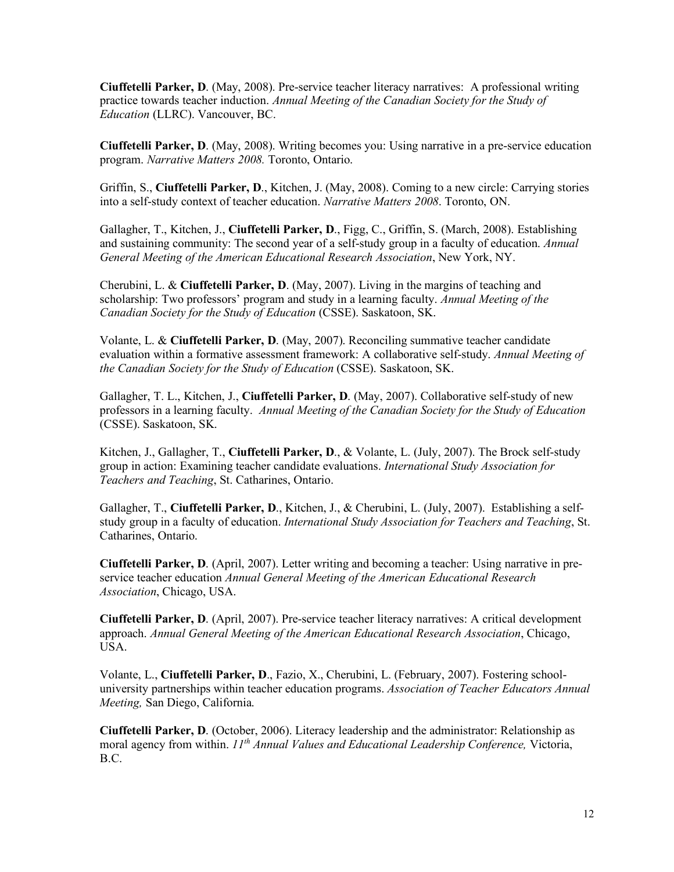**Ciuffetelli Parker, D**. (May, 2008). Pre-service teacher literacy narratives: A professional writing practice towards teacher induction. *Annual Meeting of the Canadian Society for the Study of Education* (LLRC). Vancouver, BC.

 **Ciuffetelli Parker, D**. (May, 2008). Writing becomes you: Using narrative in a pre-service education  program. *Narrative Matters 2008.* Toronto, Ontario.

 Griffin, S., **Ciuffetelli Parker, D**., Kitchen, J. (May, 2008). Coming to a new circle: Carrying stories into a self-study context of teacher education. *Narrative Matters 2008*. Toronto, ON.

 Gallagher, T., Kitchen, J., **Ciuffetelli Parker, D**., Figg, C., Griffin, S. (March, 2008). Establishing and sustaining community: The second year of a self-study group in a faculty of education. *Annual General Meeting of the American Educational Research Association*, New York, NY.

 Cherubini, L. & **Ciuffetelli Parker, D**. (May, 2007). Living in the margins of teaching and scholarship: Two professors' program and study in a learning faculty. *Annual Meeting of the Canadian Society for the Study of Education* (CSSE). Saskatoon, SK.

 Volante, L. & **Ciuffetelli Parker, D**. (May, 2007). Reconciling summative teacher candidate evaluation within a formative assessment framework: A collaborative self-study. *Annual Meeting of the Canadian Society for the Study of Education* (CSSE). Saskatoon, SK.

 Gallagher, T. L., Kitchen, J., **Ciuffetelli Parker, D**. (May, 2007). Collaborative self-study of new professors in a learning faculty. *Annual Meeting of the Canadian Society for the Study of Education*  (CSSE). Saskatoon, SK.

 Kitchen, J., Gallagher, T., **Ciuffetelli Parker, D**., & Volante, L. (July, 2007). The Brock self-study group in action: Examining teacher candidate evaluations. *International Study Association for Teachers and Teaching*, St. Catharines, Ontario.

Gallagher, T., Ciuffetelli Parker, D., Kitchen, J., & Cherubini, L. (July, 2007). Establishing a self- study group in a faculty of education. *International Study Association for Teachers and Teaching*, St. Catharines, Ontario.

 **Ciuffetelli Parker, D**. (April, 2007). Letter writing and becoming a teacher: Using narrative in pre- service teacher education *Annual General Meeting of the American Educational Research Association*, Chicago, USA.

 **Ciuffetelli Parker, D**. (April, 2007). Pre-service teacher literacy narratives: A critical development  approach. *Annual General Meeting of the American Educational Research Association*, Chicago, USA.

 Volante, L., **Ciuffetelli Parker, D**., Fazio, X., Cherubini, L. (February, 2007). Fostering school- university partnerships within teacher education programs. *Association of Teacher Educators Annual Meeting,* San Diego, California.

 **Ciuffetelli Parker, D**. (October, 2006). Literacy leadership and the administrator: Relationship as moral agency from within. *11<sup>th</sup> Annual Values and Educational Leadership Conference*, Victoria, B.C.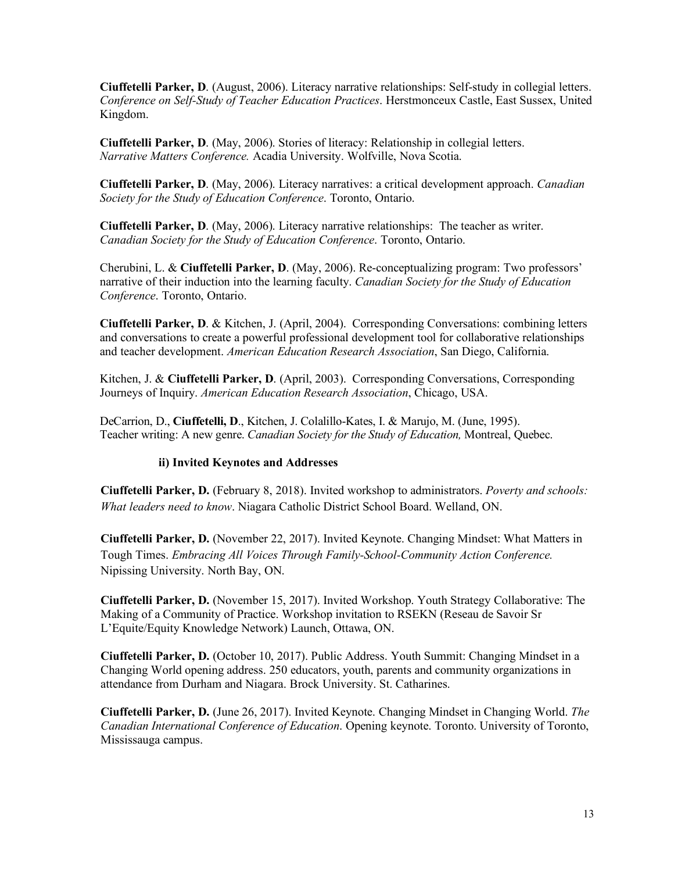**Ciuffetelli Parker, D**. (August, 2006). Literacy narrative relationships: Self-study in collegial letters.  *Conference on Self-Study of Teacher Education Practices*. Herstmonceux Castle, East Sussex, United Kingdom.

 **Ciuffetelli Parker, D**. (May, 2006). Stories of literacy: Relationship in collegial letters.  *Narrative Matters Conference.* Acadia University. Wolfville, Nova Scotia.

 **Ciuffetelli Parker, D**. (May, 2006). Literacy narratives: a critical development approach. *Canadian Society for the Study of Education Conference*. Toronto, Ontario.

 **Ciuffetelli Parker, D**. (May, 2006). Literacy narrative relationships: The teacher as writer.  *Canadian Society for the Study of Education Conference*. Toronto, Ontario.

 Cherubini, L. & **Ciuffetelli Parker, D**. (May, 2006). Re-conceptualizing program: Two professors' narrative of their induction into the learning faculty. *Canadian Society for the Study of Education Conference*. Toronto, Ontario.

 **Ciuffetelli Parker, D**. & Kitchen, J. (April, 2004). Corresponding Conversations: combining letters and conversations to create a powerful professional development tool for collaborative relationships and teacher development. *American Education Research Association*, San Diego, California.

 Kitchen, J. & **Ciuffetelli Parker, D**. (April, 2003). Corresponding Conversations, Corresponding Journeys of Inquiry. *American Education Research Association*, Chicago, USA.

DeCarrion, D., **Ciuffetelli, D**., Kitchen, J. Colalillo-Kates, I. & Marujo, M. (June, 1995). Teacher writing: A new genre. *Canadian Society for the Study of Education,* Montreal, Quebec.

## **ii) Invited Keynotes and Addresses**

 **Ciuffetelli Parker, D.** (February 8, 2018). Invited workshop to administrators. *Poverty and schools: What leaders need to know*. Niagara Catholic District School Board. Welland, ON.

 **Ciuffetelli Parker, D.** (November 22, 2017). Invited Keynote. Changing Mindset: What Matters in  Tough Times. *Embracing All Voices Through Family-School-Community Action Conference.*  Nipissing University. North Bay, ON.

 **Ciuffetelli Parker, D.** (November 15, 2017). Invited Workshop. Youth Strategy Collaborative: The Making of a Community of Practice. Workshop invitation to RSEKN (Reseau de Savoir Sr L'Equite/Equity Knowledge Network) Launch, Ottawa, ON.

 **Ciuffetelli Parker, D.** (October 10, 2017). Public Address. Youth Summit: Changing Mindset in a Changing World opening address. 250 educators, youth, parents and community organizations in attendance from Durham and Niagara. Brock University. St. Catharines.

 **Ciuffetelli Parker, D.** (June 26, 2017). Invited Keynote. Changing Mindset in Changing World. *The Canadian International Conference of Education*. Opening keynote. Toronto. University of Toronto, Mississauga campus.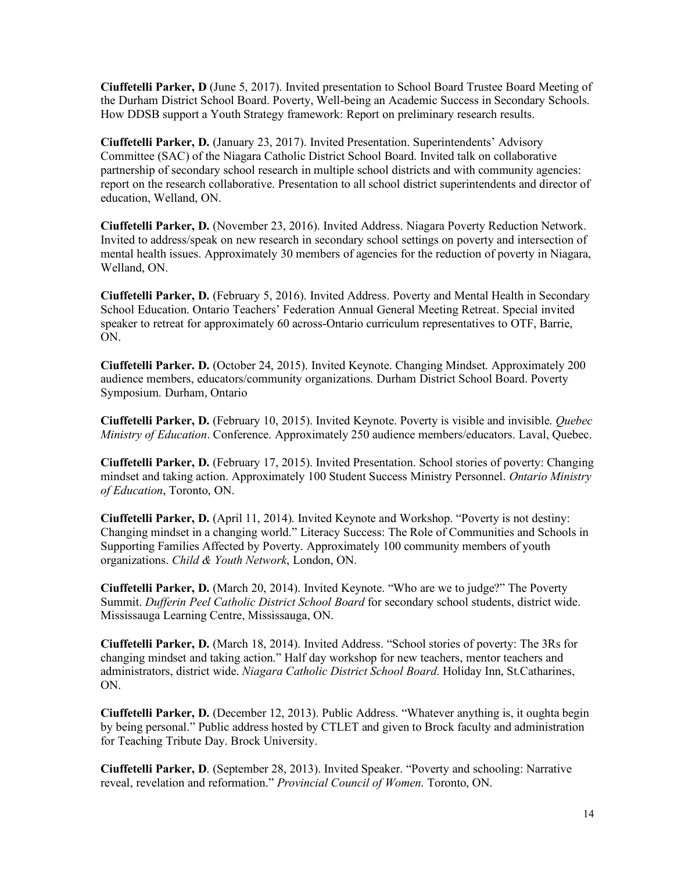**Ciuffetelli Parker, D** (June 5, 2017). Invited presentation to School Board Trustee Board Meeting of the Durham District School Board. Poverty, Well-being an Academic Success in Secondary Schools. How DDSB support a Youth Strategy framework: Report on preliminary research results.

 **Ciuffetelli Parker, D.** (January 23, 2017). Invited Presentation. Superintendents' Advisory Committee (SAC) of the Niagara Catholic District School Board. Invited talk on collaborative partnership of secondary school research in multiple school districts and with community agencies: report on the research collaborative. Presentation to all school district superintendents and director of education, Welland, ON.

 **Ciuffetelli Parker, D.** (November 23, 2016). Invited Address. Niagara Poverty Reduction Network. Invited to address/speak on new research in secondary school settings on poverty and intersection of mental health issues. Approximately 30 members of agencies for the reduction of poverty in Niagara, Welland, ON.

 **Ciuffetelli Parker, D.** (February 5, 2016). Invited Address. Poverty and Mental Health in Secondary School Education. Ontario Teachers' Federation Annual General Meeting Retreat. Special invited speaker to retreat for approximately 60 across-Ontario curriculum representatives to OTF, Barrie, ON.

 **Ciuffetelli Parker. D.** (October 24, 2015). Invited Keynote. Changing Mindset. Approximately 200 audience members, educators/community organizations. Durham District School Board. Poverty Symposium. Durham, Ontario

 **Ciuffetelli Parker, D.** (February 10, 2015). Invited Keynote. Poverty is visible and invisible. *Quebec Ministry of Education*. Conference. Approximately 250 audience members/educators. Laval, Quebec.

 **Ciuffetelli Parker, D.** (February 17, 2015). Invited Presentation. School stories of poverty: Changing mindset and taking action. Approximately 100 Student Success Ministry Personnel. *Ontario Ministry of Education*, Toronto, ON.

 **Ciuffetelli Parker, D.** (April 11, 2014). Invited Keynote and Workshop. "Poverty is not destiny: Changing mindset in a changing world." Literacy Success: The Role of Communities and Schools in Supporting Families Affected by Poverty. Approximately 100 community members of youth  organizations. *Child & Youth Network*, London, ON.

 **Ciuffetelli Parker, D.** (March 20, 2014). Invited Keynote. "Who are we to judge?" The Poverty  Summit. *Dufferin Peel Catholic District School Board* for secondary school students, district wide. Mississauga Learning Centre, Mississauga, ON.

 **Ciuffetelli Parker, D.** (March 18, 2014). Invited Address. "School stories of poverty: The 3Rs for changing mindset and taking action." Half day workshop for new teachers, mentor teachers and administrators, district wide. *Niagara Catholic District School Board*. Holiday Inn, St.Catharines, ON.

 **Ciuffetelli Parker, D.** (December 12, 2013). Public Address. "Whatever anything is, it oughta begin by being personal." Public address hosted by CTLET and given to Brock faculty and administration for Teaching Tribute Day. Brock University.

 **Ciuffetelli Parker, D**. (September 28, 2013). Invited Speaker. "Poverty and schooling: Narrative  reveal, revelation and reformation." *Provincial Council of Women*. Toronto, ON.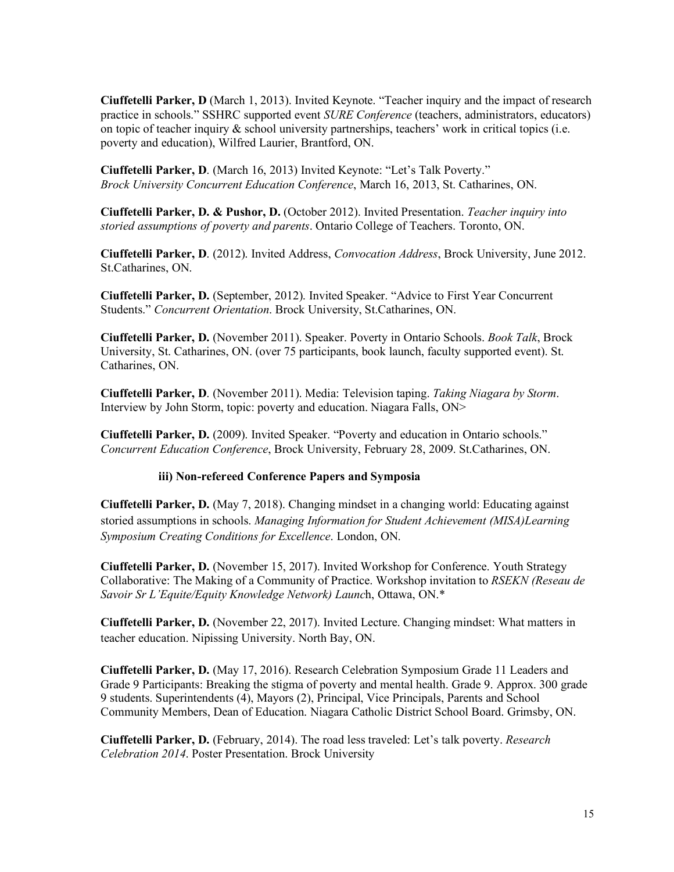**Ciuffetelli Parker, D** (March 1, 2013). Invited Keynote. "Teacher inquiry and the impact of research practice in schools." SSHRC supported event *SURE Conference* (teachers, administrators, educators) on topic of teacher inquiry & school university partnerships, teachers' work in critical topics (i.e. poverty and education), Wilfred Laurier, Brantford, ON.

 **Ciuffetelli Parker, D**. (March 16, 2013) Invited Keynote: "Let's Talk Poverty."  *Brock University Concurrent Education Conference*, March 16, 2013, St. Catharines, ON.

 **Ciuffetelli Parker, D. & Pushor, D.** (October 2012). Invited Presentation. *Teacher inquiry into storied assumptions of poverty and parents*. Ontario College of Teachers. Toronto, ON.

 **Ciuffetelli Parker, D**. (2012). Invited Address, *Convocation Address*, Brock University, June 2012. St.Catharines, ON.

 **Ciuffetelli Parker, D.** (September, 2012). Invited Speaker. "Advice to First Year Concurrent Students." *Concurrent Orientation*. Brock University, St.Catharines, ON.

 **Ciuffetelli Parker, D.** (November 2011). Speaker. Poverty in Ontario Schools. *Book Talk*, Brock University, St. Catharines, ON. (over 75 participants, book launch, faculty supported event). St. Catharines, ON.

 **Ciuffetelli Parker, D**. (November 2011). Media: Television taping. *Taking Niagara by Storm*. Interview by John Storm, topic: poverty and education. Niagara Falls, ON>

 **Ciuffetelli Parker, D.** (2009). Invited Speaker. "Poverty and education in Ontario schools." *Concurrent Education Conference*, Brock University, February 28, 2009. St.Catharines, ON.

#### **iii) Non-refereed Conference Papers and Symposia**

 **Ciuffetelli Parker, D.** (May 7, 2018). Changing mindset in a changing world: Educating against storied assumptions in schools. *Managing Information for Student Achievement (MISA)Learning Symposium Creating Conditions for Excellence*. London, ON.

 **Ciuffetelli Parker, D.** (November 15, 2017). Invited Workshop for Conference. Youth Strategy Collaborative: The Making of a Community of Practice. Workshop invitation to *RSEKN (Reseau de Savoir Sr L'Equite/Equity Knowledge Network) Launc*h, Ottawa, ON.\*

 **Ciuffetelli Parker, D.** (November 22, 2017). Invited Lecture. Changing mindset: What matters in teacher education. Nipissing University. North Bay, ON.

 **Ciuffetelli Parker, D.** (May 17, 2016). Research Celebration Symposium Grade 11 Leaders and Grade 9 Participants: Breaking the stigma of poverty and mental health. Grade 9. Approx. 300 grade 9 students. Superintendents (4), Mayors (2), Principal, Vice Principals, Parents and School Community Members, Dean of Education. Niagara Catholic District School Board. Grimsby, ON.

 **Ciuffetelli Parker, D.** (February, 2014). The road less traveled: Let's talk poverty. *Research Celebration 2014*. Poster Presentation. Brock University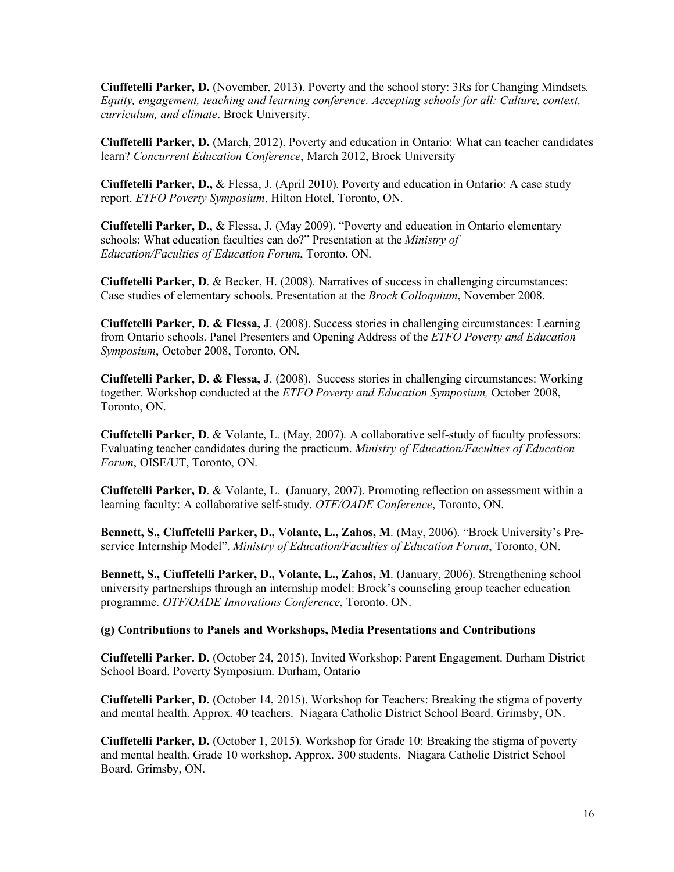**Ciuffetelli Parker, D.** (November, 2013). Poverty and the school story: 3Rs for Changing Mindsets*. Equity, engagement, teaching and learning conference. Accepting schools for all: Culture, context, curriculum, and climate*. Brock University.

 **Ciuffetelli Parker, D.** (March, 2012). Poverty and education in Ontario: What can teacher candidates learn? *Concurrent Education Conference*, March 2012, Brock University

 **Ciuffetelli Parker, D.,** & Flessa, J. (April 2010). Poverty and education in Ontario: A case study  report. *ETFO Poverty Symposium*, Hilton Hotel, Toronto, ON.

 **Ciuffetelli Parker, D**., & Flessa, J. (May 2009). "Poverty and education in Ontario elementary schools: What education faculties can do?" Presentation at the *Ministry of Education/Faculties of Education Forum*, Toronto, ON.

 **Ciuffetelli Parker, D**. & Becker, H. (2008). Narratives of success in challenging circumstances: Case studies of elementary schools. Presentation at the *Brock Colloquium*, November 2008.

 **Ciuffetelli Parker, D. & Flessa, J**. (2008). Success stories in challenging circumstances: Learning from Ontario schools. Panel Presenters and Opening Address of the *ETFO Poverty and Education Symposium*, October 2008, Toronto, ON.

 **Ciuffetelli Parker, D. & Flessa, J**. (2008). Success stories in challenging circumstances: Working together. Workshop conducted at the *ETFO Poverty and Education Symposium,* October 2008, Toronto, ON.

 **Ciuffetelli Parker, D**. & Volante, L. (May, 2007). A collaborative self-study of faculty professors: Evaluating teacher candidates during the practicum. *Ministry of Education/Faculties of Education Forum*, OISE/UT, Toronto, ON.

 **Ciuffetelli Parker, D**. & Volante, L. (January, 2007). Promoting reflection on assessment within a learning faculty: A collaborative self-study. *OTF/OADE Conference*, Toronto, ON.

 **Bennett, S., Ciuffetelli Parker, D., Volante, L., Zahos, M**. (May, 2006). "Brock University's Pre- service Internship Model". *Ministry of Education/Faculties of Education Forum*, Toronto, ON.

Bennett, S., Ciuffetelli Parker, D., Volante, L., Zahos, M. (January, 2006). Strengthening school university partnerships through an internship model: Brock's counseling group teacher education  programme. *OTF/OADE Innovations Conference*, Toronto. ON.

#### **(g) Contributions to Panels and Workshops, Media Presentations and Contributions**

 **Ciuffetelli Parker. D.** (October 24, 2015). Invited Workshop: Parent Engagement. Durham District School Board. Poverty Symposium. Durham, Ontario

 **Ciuffetelli Parker, D.** (October 14, 2015). Workshop for Teachers: Breaking the stigma of poverty and mental health. Approx. 40 teachers. Niagara Catholic District School Board. Grimsby, ON.

 **Ciuffetelli Parker, D.** (October 1, 2015). Workshop for Grade 10: Breaking the stigma of poverty and mental health. Grade 10 workshop. Approx. 300 students. Niagara Catholic District School Board. Grimsby, ON.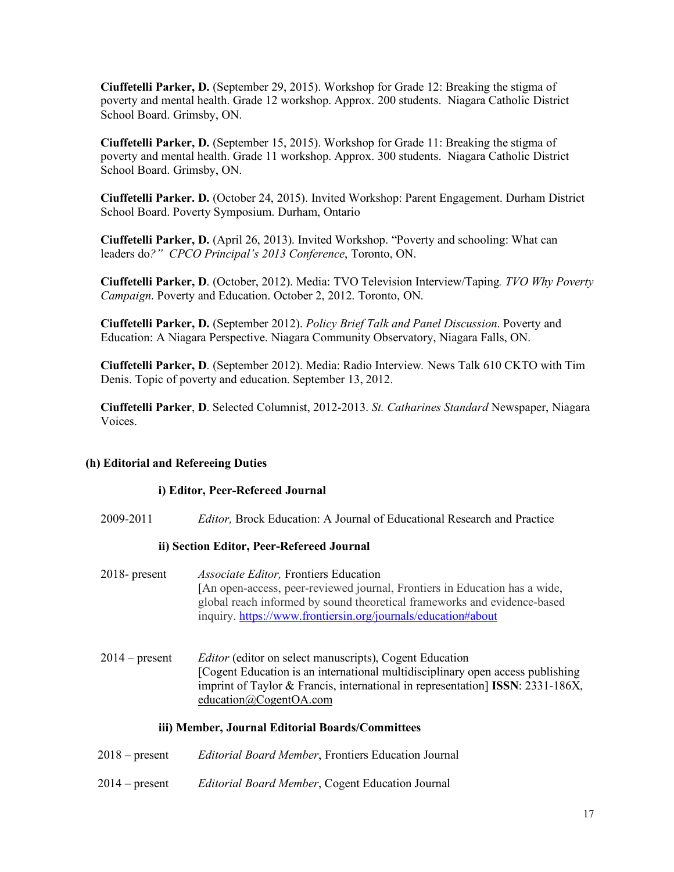**Ciuffetelli Parker, D.** (September 29, 2015). Workshop for Grade 12: Breaking the stigma of poverty and mental health. Grade 12 workshop. Approx. 200 students. Niagara Catholic District School Board. Grimsby, ON.

 **Ciuffetelli Parker, D.** (September 15, 2015). Workshop for Grade 11: Breaking the stigma of poverty and mental health. Grade 11 workshop. Approx. 300 students. Niagara Catholic District School Board. Grimsby, ON.

 **Ciuffetelli Parker. D.** (October 24, 2015). Invited Workshop: Parent Engagement. Durham District School Board. Poverty Symposium. Durham, Ontario

 **Ciuffetelli Parker, D.** (April 26, 2013). Invited Workshop. "Poverty and schooling: What can  leaders do*?" CPCO Principal's 2013 Conference*, Toronto, ON.

 **Ciuffetelli Parker, D**. (October, 2012). Media: TVO Television Interview/Taping*. TVO Why Poverty Campaign*. Poverty and Education. October 2, 2012. Toronto, ON.

 **Ciuffetelli Parker, D.** (September 2012). *Policy Brief Talk and Panel Discussion*. Poverty and Education: A Niagara Perspective. Niagara Community Observatory, Niagara Falls, ON.

 **Ciuffetelli Parker, D**. (September 2012). Media: Radio Interview*.* News Talk 610 CKTO with Tim Denis. Topic of poverty and education. September 13, 2012.

 **Ciuffetelli Parker**, **D**. Selected Columnist, 2012-2013. *St. Catharines Standard* Newspaper, Niagara Voices.

#### **(h) Editorial and Refereeing Duties**

#### **i) Editor, Peer-Refereed Journal**

2009-2011 *Editor,* Brock Education: A Journal of Educational Research and Practice

#### **ii) Section Editor, Peer-Refereed Journal**

- [An open-access, peer-reviewed journal, Frontiers in Education has a wide, global reach informed by sound theoretical frameworks and evidence-based 2018- present *Associate Editor,* Frontiers Education inquiry. https://www.frontiersin.org/journals/education#about
- [Cogent Education is an international multidisciplinary open access publishing imprint of Taylor & Francis, international in representation] **ISSN**: 2331-186X, 2014 – present *Editor* (editor on select manuscripts), Cogent Education education@CogentOA.com

#### **iii) Member, Journal Editorial Boards/Committees**

- 2018 present *Editorial Board Member*, Frontiers Education Journal
- 2014 present *Editorial Board Member*, Cogent Education Journal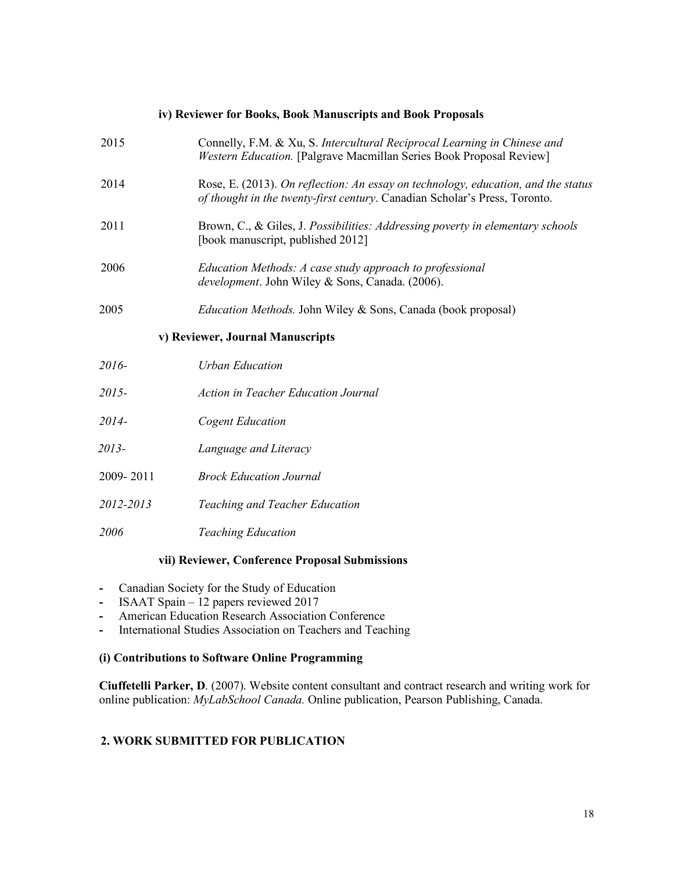## **iv) Reviewer for Books, Book Manuscripts and Book Proposals**

| 2015                             | Connelly, F.M. & Xu, S. Intercultural Reciprocal Learning in Chinese and<br><b>Western Education.</b> [Palgrave Macmillan Series Book Proposal Review]          |
|----------------------------------|-----------------------------------------------------------------------------------------------------------------------------------------------------------------|
| 2014                             | Rose, E. (2013). On reflection: An essay on technology, education, and the status<br>of thought in the twenty-first century. Canadian Scholar's Press, Toronto. |
| 2011                             | Brown, C., & Giles, J. Possibilities: Addressing poverty in elementary schools<br>[book manuscript, published 2012]                                             |
| 2006                             | Education Methods: A case study approach to professional<br>development. John Wiley & Sons, Canada. (2006).                                                     |
| 2005                             | <i>Education Methods.</i> John Wiley & Sons, Canada (book proposal)                                                                                             |
| v) Reviewer, Journal Manuscripts |                                                                                                                                                                 |
| 2016-                            | <b>Urban Education</b>                                                                                                                                          |
| 2015-                            | <b>Action in Teacher Education Journal</b>                                                                                                                      |
| 2014-                            | <b>Cogent Education</b>                                                                                                                                         |
| 2013-                            | Language and Literacy                                                                                                                                           |
| 2009-2011                        | <b>Brock Education Journal</b>                                                                                                                                  |
| 2012-2013                        | Teaching and Teacher Education                                                                                                                                  |
| 2006                             | <b>Teaching Education</b>                                                                                                                                       |

## **vii) Reviewer, Conference Proposal Submissions**

- **-** Canadian Society for the Study of Education
- **-** ISAAT Spain 12 papers reviewed 2017
- **-** American Education Research Association Conference
- **-** International Studies Association on Teachers and Teaching

## **(i) Contributions to Software Online Programming**

 **Ciuffetelli Parker, D**. (2007). Website content consultant and contract research and writing work for online publication: *MyLabSchool Canada.* Online publication, Pearson Publishing, Canada.

# **2. WORK SUBMITTED FOR PUBLICATION**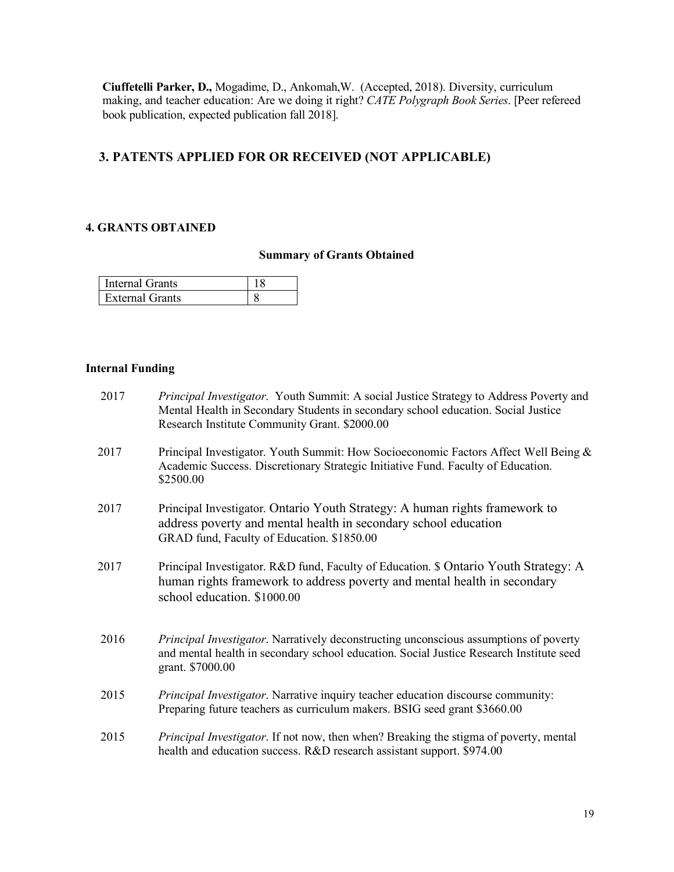**Ciuffetelli Parker, D.,** Mogadime, D., Ankomah,W. (Accepted, 2018). Diversity, curriculum making, and teacher education: Are we doing it right? *CATE Polygraph Book Series*. [Peer refereed book publication, expected publication fall 2018].

# **3. PATENTS APPLIED FOR OR RECEIVED (NOT APPLICABLE)**

## **4. GRANTS OBTAINED**

## **Summary of Grants Obtained**

| Internal Grants        |  |
|------------------------|--|
| <b>External Grants</b> |  |

## **Internal Funding**

| 2017 | <i>Principal Investigator.</i> Youth Summit: A social Justice Strategy to Address Poverty and<br>Mental Health in Secondary Students in secondary school education. Social Justice<br>Research Institute Community Grant. \$2000.00 |
|------|-------------------------------------------------------------------------------------------------------------------------------------------------------------------------------------------------------------------------------------|
| 2017 | Principal Investigator. Youth Summit: How Socioeconomic Factors Affect Well Being &<br>Academic Success. Discretionary Strategic Initiative Fund. Faculty of Education.<br>\$2500.00                                                |
| 2017 | Principal Investigator. Ontario Youth Strategy: A human rights framework to<br>address poverty and mental health in secondary school education<br>GRAD fund, Faculty of Education. \$1850.00                                        |
| 2017 | Principal Investigator. R&D fund, Faculty of Education. \$ Ontario Youth Strategy: A<br>human rights framework to address poverty and mental health in secondary<br>school education. \$1000.00                                     |
| 2016 | Principal Investigator. Narratively deconstructing unconscious assumptions of poverty<br>and mental health in secondary school education. Social Justice Research Institute seed<br>grant. \$7000.00                                |
| 2015 | Principal Investigator. Narrative inquiry teacher education discourse community:<br>Preparing future teachers as curriculum makers. BSIG seed grant \$3660.00                                                                       |
| 2015 | <i>Principal Investigator.</i> If not now, then when? Breaking the stigma of poverty, mental<br>health and education success. R&D research assistant support. \$974.00                                                              |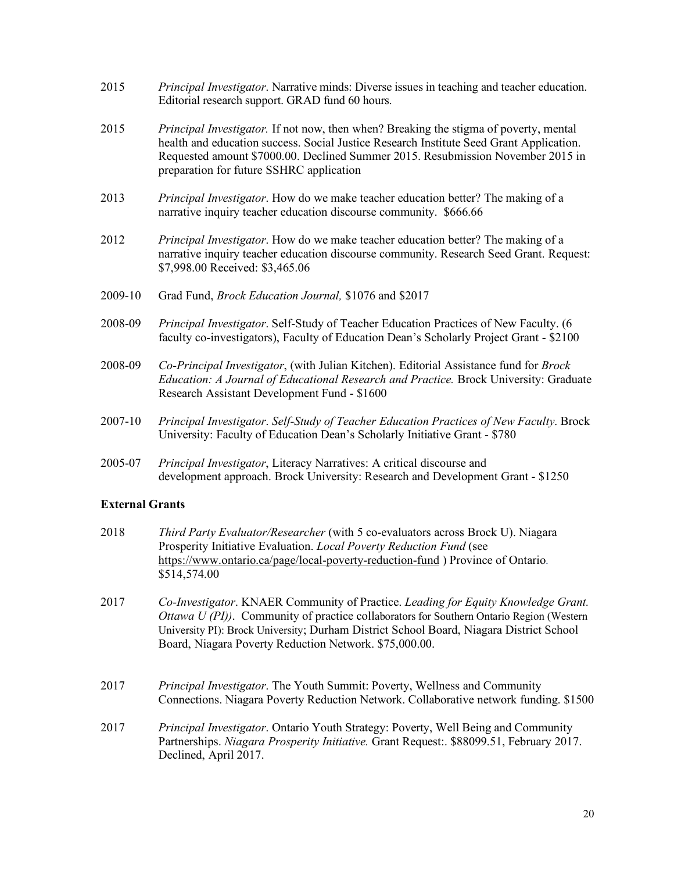- Editorial research support. GRAD fund 60 hours. 2015 *Principal Investigator*. Narrative minds: Diverse issues in teaching and teacher education.
- health and education success. Social Justice Research Institute Seed Grant Application. Requested amount \$7000.00. Declined Summer 2015. Resubmission November 2015 in preparation for future SSHRC application 2015 *Principal Investigator.* If not now, then when? Breaking the stigma of poverty, mental
- narrative inquiry teacher education discourse community. \$666.66 2013 *Principal Investigator*. How do we make teacher education better? The making of a
- narrative inquiry teacher education discourse community. Research Seed Grant. Request: \$7,998.00 Received: \$3,465.06 2012 *Principal Investigator*. How do we make teacher education better? The making of a
- 2009-10 Grad Fund, *Brock Education Journal,* \$1076 and \$2017
- faculty co-investigators), Faculty of Education Dean's Scholarly Project Grant \$2100 2008-09 *Principal Investigator*. Self-Study of Teacher Education Practices of New Faculty. (6
- *Education: A Journal of Educational Research and Practice.* Brock University: Graduate Research Assistant Development Fund - \$1600 2008-09 *Co-Principal Investigator*, (with Julian Kitchen). Editorial Assistance fund for *Brock*
- University: Faculty of Education Dean's Scholarly Initiative Grant \$780 2007-10 *Principal Investigator*. *Self-Study of Teacher Education Practices of New Faculty*. Brock
- development approach. Brock University: Research and Development Grant \$1250 2005-07 *Principal Investigator*, Literacy Narratives: A critical discourse and

#### **External Grants**

- 2018 *Third Party Evaluator/Researcher* (with 5 co-evaluators across Brock U). Niagara Prosperity Initiative Evaluation. *Local Poverty Reduction Fund* (see https://www.ontario.ca/page/local-poverty-reduction-fund ) Province of Ontario. \$514,574.00
- 2017 *Co-Investigator*. KNAER Community of Practice. *Leading for Equity Knowledge Grant. Ottawa U (PI))*. Community of practice collaborators for Southern Ontario Region (Western University PI): Brock University; Durham District School Board, Niagara District School Board, Niagara Poverty Reduction Network. \$75,000.00.
- Connections. Niagara Poverty Reduction Network. Collaborative network funding. \$1500 2017 *Principal Investigator*. The Youth Summit: Poverty, Wellness and Community
- Partnerships. *Niagara Prosperity Initiative.* Grant Request:. \$88099.51, February 2017. Declined, April 2017. 2017 *Principal Investigator*. Ontario Youth Strategy: Poverty, Well Being and Community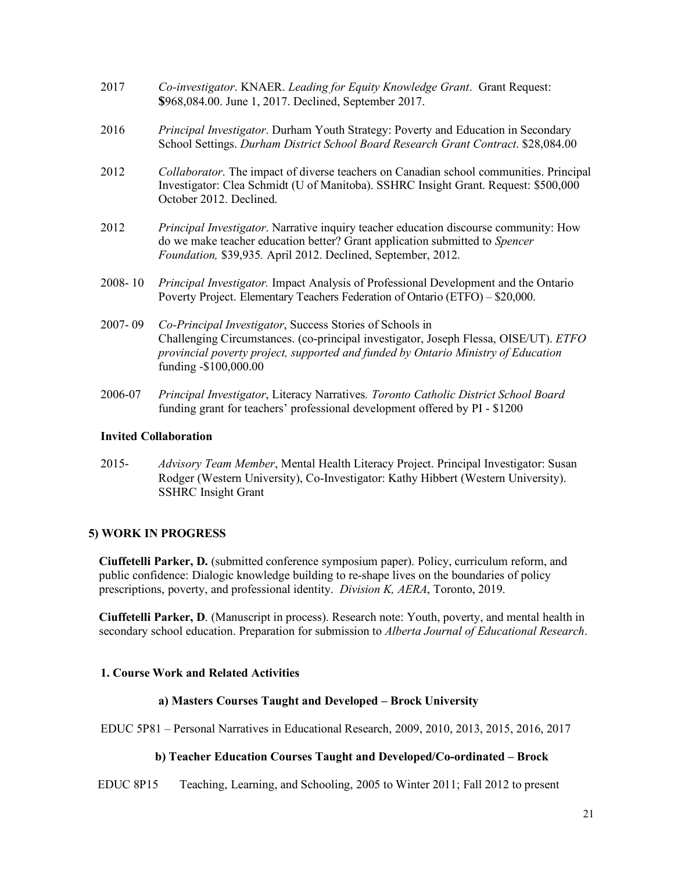- **\$**968,084.00. June 1, 2017. Declined, September 2017. 2017 *Co-investigator*. KNAER. *Leading for Equity Knowledge Grant*. Grant Request:
- School Settings. *Durham District School Board Research Grant Contract*. \$28,084.00 2016 *Principal Investigator*. Durham Youth Strategy: Poverty and Education in Secondary
- Investigator: Clea Schmidt (U of Manitoba). SSHRC Insight Grant. Request: \$500,000 October 2012. Declined. 2012 *Collaborator*. The impact of diverse teachers on Canadian school communities. Principal
- do we make teacher education better? Grant application submitted to *Spencer Foundation,* \$39,935*.* April 2012. Declined, September, 2012. 2012 *Principal Investigator*. Narrative inquiry teacher education discourse community: How
- Poverty Project. Elementary Teachers Federation of Ontario (ETFO) \$20,000. 2008- 10 *Principal Investigator.* Impact Analysis of Professional Development and the Ontario
- Challenging Circumstances. (co-principal investigator, Joseph Flessa, OISE/UT). *ETFO provincial poverty project, supported and funded by Ontario Ministry of Education*  2007- 09 *Co-Principal Investigator*, Success Stories of Schools in funding -\$100,000.00
- funding grant for teachers' professional development offered by PI \$1200 2006-07 *Principal Investigator*, Literacy Narratives*. Toronto Catholic District School Board*

### **Invited Collaboration**

 2015- *Advisory Team Member*, Mental Health Literacy Project. Principal Investigator: Susan SSHRC Insight Grant Rodger (Western University), Co-Investigator: Kathy Hibbert (Western University).

## **5) WORK IN PROGRESS**

 **Ciuffetelli Parker, D.** (submitted conference symposium paper). Policy, curriculum reform, and public confidence: Dialogic knowledge building to re-shape lives on the boundaries of policy prescriptions, poverty, and professional identity. *Division K, AERA*, Toronto, 2019.

 **Ciuffetelli Parker, D**. (Manuscript in process). Research note: Youth, poverty, and mental health in secondary school education. Preparation for submission to *Alberta Journal of Educational Research*.

## **1. Course Work and Related Activities**

## **a) Masters Courses Taught and Developed – Brock University**

EDUC 5P81 – Personal Narratives in Educational Research, 2009, 2010, 2013, 2015, 2016, 2017

## **b) Teacher Education Courses Taught and Developed/Co-ordinated – Brock**

EDUC 8P15 Teaching, Learning, and Schooling, 2005 to Winter 2011; Fall 2012 to present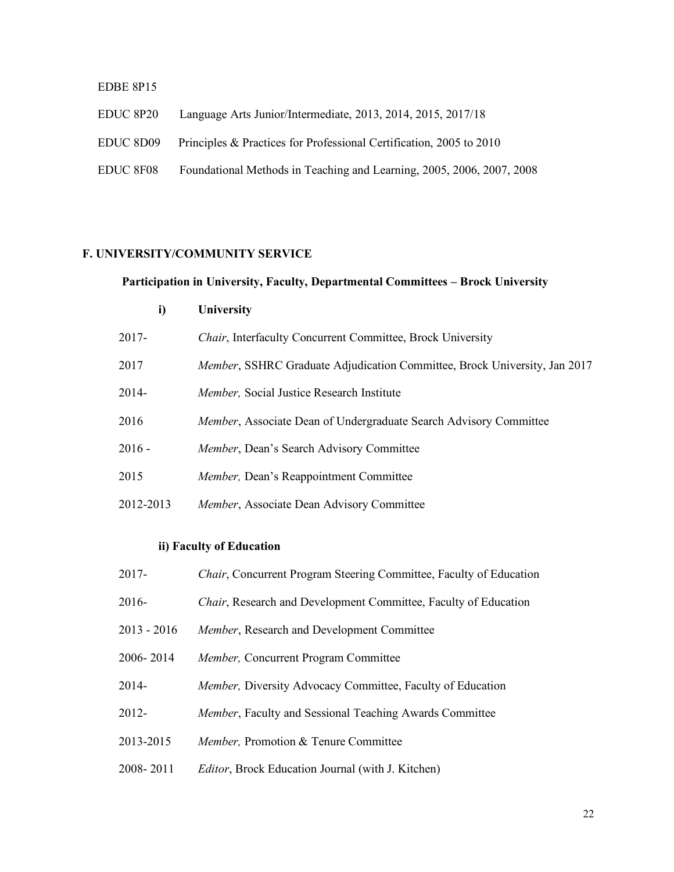#### EDBE 8P15

EDUC 8P20 Language Arts Junior/Intermediate, 2013, 2014, 2015, 2017/18 EDUC 8D09 Principles & Practices for Professional Certification, 2005 to 2010 EDUC 8F08 Foundational Methods in Teaching and Learning, 2005, 2006, 2007, 2008

## **F. UNIVERSITY/COMMUNITY SERVICE**

#### **Participation in University, Faculty, Departmental Committees – Brock University**

| i)                       | University                                                                        |
|--------------------------|-----------------------------------------------------------------------------------|
| 2017-                    | <i>Chair</i> , Interfaculty Concurrent Committee, Brock University                |
| 2017                     | <i>Member</i> , SSHRC Graduate Adjudication Committee, Brock University, Jan 2017 |
| 2014-                    | <i>Member</i> , Social Justice Research Institute                                 |
| 2016                     | <i>Member</i> , Associate Dean of Undergraduate Search Advisory Committee         |
| 2016 -                   | <i>Member</i> , Dean's Search Advisory Committee                                  |
| 2015                     | <i>Member</i> , Dean's Reappointment Committee                                    |
| 2012-2013                | Member, Associate Dean Advisory Committee                                         |
| ii) Faculty of Education |                                                                                   |

- 2017- *Chair*, Concurrent Program Steering Committee, Faculty of Education
- 2016- *Chair*, Research and Development Committee, Faculty of Education
- $2013 2016$ Member, Research and Development Committee
- 2006-2014 *Member, Concurrent Program Committee*
- *Member, Diversity Advocacy Committee, Faculty of Education*
- $2012 -$ Member, Faculty and Sessional Teaching Awards Committee
- 2013-2015 *Member,* Promotion & Tenure Committee
- 2008-2011 *Editor*, Brock Education Journal (with J. Kitchen)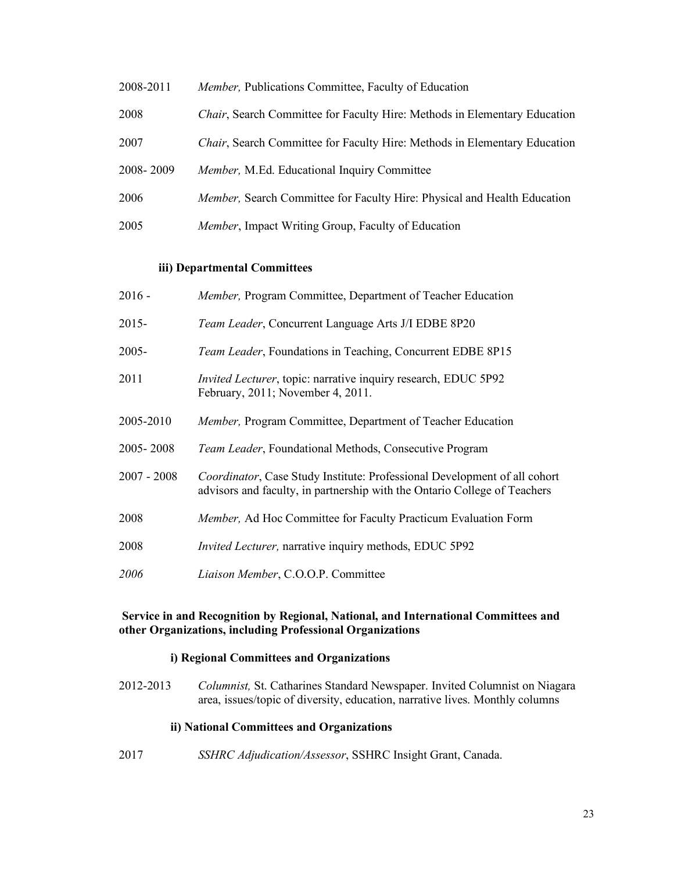- 2008-2011 *Member, Publications Committee, Faculty of Education*
- *Chair*, Search Committee for Faculty Hire: Methods in Elementary Education
- 2007 *Chair*, Search Committee for Faculty Hire: Methods in Elementary Education
- 2008-2009 *Member, M.Ed. Educational Inquiry Committee*
- *Member, Search Committee for Faculty Hire: Physical and Health Education*
- *Member*, Impact Writing Group, Faculty of Education

#### **iii) Departmental Committees**

- $2016 -$ *Member, Program Committee, Department of Teacher Education*
- $2015 -$ *Team Leader*, Concurrent Language Arts J/I EDBE 8P20
- $2005 -$ Team Leader, Foundations in Teaching, Concurrent EDBE 8P15
- 2011 *Invited Lecturer*, topic: narrative inquiry research, EDUC 5P92 February, 2011; November 4, 2011.
- *Member, Program Committee, Department of Teacher Education*
- 2005-2008 Team Leader, Foundational Methods, Consecutive Program
- advisors and faculty, in partnership with the Ontario College of Teachers *Coordinator*, Case Study Institute: Professional Development of all cohort
- *Member, Ad Hoc Committee for Faculty Practicum Evaluation Form*
- 2008 *Invited Lecturer,* narrative inquiry methods, EDUC 5P92
- *2006 Liaison Member*, C.O.O.P. Committee

#### **Service in and Recognition by Regional, National, and International Committees and other Organizations, including Professional Organizations**

#### **i) Regional Committees and Organizations**

 2012-2013 *Columnist,* St. Catharines Standard Newspaper. Invited Columnist on Niagara area, issues/topic of diversity, education, narrative lives. Monthly columns

#### **ii) National Committees and Organizations**

2017 *SSHRC Adjudication/Assessor*, SSHRC Insight Grant, Canada.